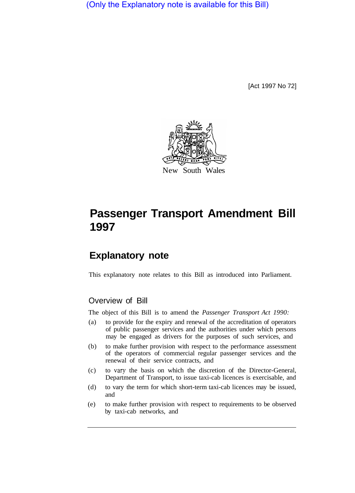(Only the Explanatory note is available for this Bill)

[Act 1997 No 72]



# **Passenger Transport Amendment Bill 1997**

# **Explanatory note**

This explanatory note relates to this Bill as introduced into Parliament.

## Overview of Bill

The object of this Bill is to amend the *Passenger Transport Act 1990:* 

- (a) to provide for the expiry and renewal of the accreditation of operators of public passenger services and the authorities under which persons may be engaged as drivers for the purposes of such services, and
- (b) to make further provision with respect to the performance assessment of the operators of commercial regular passenger services and the renewal of their service contracts, and
- (c) to vary the basis on which the discretion of the Director-General, Department of Transport, to issue taxi-cab licences is exercisable, and
- (d) to vary the term for which short-term taxi-cab licences may be issued, and
- (e) to make further provision with respect to requirements to be observed by taxi-cab networks, and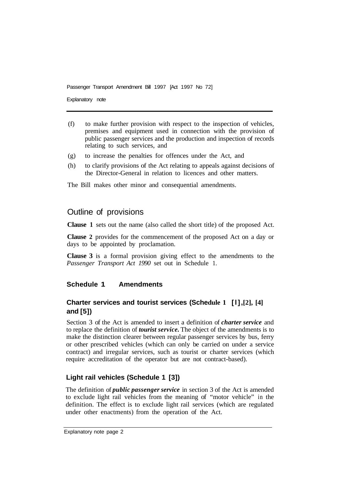Explanatory note

- (f) to make further provision with respect to the inspection of vehicles, premises and equipment used in connection with the provision of public passenger services and the production and inspection of records relating to such services, and
- (g) to increase the penalties for offences under the Act, and
- (h) to clarify provisions of the Act relating to appeals against decisions of the Director-General in relation to licences and other matters.

The Bill makes other minor and consequential amendments.

# Outline of provisions

**Clause 1** sets out the name (also called the short title) of the proposed Act.

**Clause 2** provides for the commencement of the proposed Act on a day or days to be appointed by proclamation.

**Clause 3** is a formal provision giving effect to the amendments to the *Passenger Transport Act 1990* set out in Schedule 1.

## **Schedule 1 Amendments**

## **Charter services and tourist services (Schedule 1 [l], [2], [4] and [5])**

Section 3 of the Act is amended to insert a definition of *charter service* and to replace the definition of *tourist service.* The object of the amendments is to make the distinction clearer between regular passenger services by bus, ferry or other prescribed vehicles (which can only be carried on under a service contract) and irregular services, such as tourist or charter services (which require accreditation of the operator but are not contract-based).

## **Light rail vehicles (Schedule 1 [3])**

The definition of *public passenger service* in section 3 of the Act is amended to exclude light rail vehicles from the meaning of "motor vehicle" in the definition. The effect is to exclude light rail services (which are regulated under other enactments) from the operation of the Act.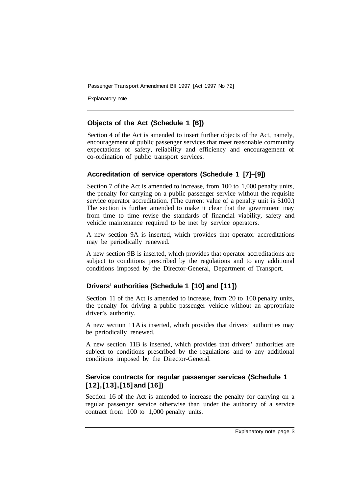Explanatory note

#### **Objects of the Act (Schedule 1 [6])**

Section 4 of the Act is amended to insert further objects of the Act, namely, encouragement of public passenger services that meet reasonable community expectations of safety, reliability and efficiency and encouragement of co-ordination of public transport services.

## **Accreditation of service operators (Schedule 1 [7]–[9])**

Section 7 of the Act is amended to increase, from 100 to 1,000 penalty units, the penalty for carrying on a public passenger service without the requisite service operator accreditation. (The current value of a penalty unit is \$100.) The section is further amended to make it clear that the government may from time to time revise the standards of financial viability, safety and vehicle maintenance required to be met by service operators.

A new section 9A is inserted, which provides that operator accreditations may be periodically renewed.

A new section 9B is inserted, which provides that operator accreditations are subject to conditions prescribed by the regulations and to any additional conditions imposed by the Director-General, Department of Transport.

## **Drivers' authorities (Schedule 1 [10] and [11])**

Section 11 of the Act is amended to increase, from 20 to 100 penalty units, the penalty for driving **a** public passenger vehicle without an appropriate driver's authority.

A new section 1 1A is inserted, which provides that drivers' authorities may be periodically renewed.

A new section 11B is inserted, which provides that drivers' authorities are subject to conditions prescribed by the regulations and to any additional conditions imposed by the Director-General.

# **Service contracts for regular passenger services (Schedule 1 [12], [13], [15] and [16])**

Section 16 of the Act is amended to increase the penalty for carrying on a regular passenger service otherwise than under the authority of a service contract from 100 to 1,000 penalty units.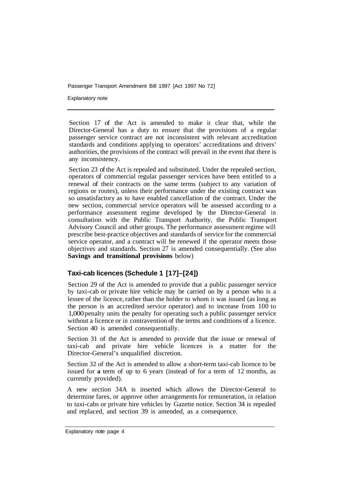Explanatory note

Section 17 of the Act is amended to make it clear that, while the Director-General has a duty to ensure that the provisions of a regular passenger service contract are not inconsistent with relevant accreditation standards and conditions applying to operators' accreditations and drivers' authorities, the provisions of the contract will prevail in the event that there is any inconsistency.

Section 23 of the Act is repealed and substituted. Under the repealed section, operators of commercial regular passenger services have been entitled to a renewal of their contracts on the same terms (subject to any variation of regions or routes), unless their performance under the existing contract was so unsatisfactory as to have enabled cancellation of the contract. Under the new section, commercial service operators will be assessed according to a performance assessment regime developed by the Director-General in consultation with the Public Transport Authority, the Public Transport Advisory Council and other groups. The performance assessment regime will prescribe best-practice objectives and standards of service for the commercial service operator, and a contract will be renewed if the operator meets those objectives and standards. Section 27 is amended consequentially. (See also **Savings and transitional provisions** below)

## **Taxi-cab licences (Schedule 1 [17]–[24])**

Section 29 of the Act is amended to provide that a public passenger service by taxi-cab or private hire vehicle may be carried on by a person who is a lessee of the licence, rather than the holder to whom it was issued (as long as the person is an accredited service operator) and to increase from 100 to 1,000 penalty units the penalty for operating such a public passenger service without a licence or in contravention of the terms and conditions of a licence. Section 40 is amended consequentially.

Section 31 of the Act is amended to provide that the issue or renewal of taxi-cab and private hire vehicle licences is a matter for the Director-General's unqualified discretion.

Section 32 of the Act is amended to allow a short-term taxi-cab licence to be issued for **a** term of up to 6 years (instead of for a term of 12 months, as currently provided).

A new section 34A is inserted which allows the Director-General to determine fares, or approve other arrangements for remuneration, in relation to taxi-cabs or private hire vehicles by Gazette notice. Section 34 is repealed and replaced, and section 39 is amended, as a consequence.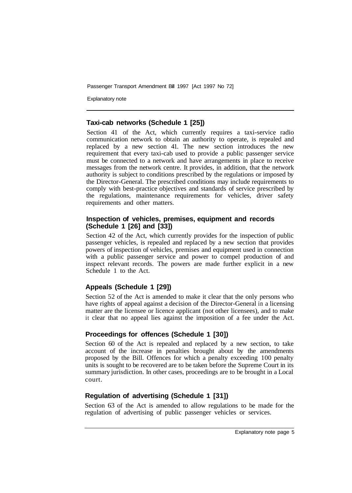Explanatory note

#### **Taxi-cab networks (Schedule 1 [25])**

Section 41 of the Act, which currently requires a taxi-service radio communication network to obtain an authority to operate, is repealed and replaced by a new section 41. The new section introduces the new requirement that every taxi-cab used to provide a public passenger service must be connected to a network and have arrangements in place to receive messages from the network centre. It provides, in addition, that the network authority is subject to conditions prescribed by the regulations or imposed by the Director-General. The prescribed conditions may include requirements to comply with best-practice objectives and standards of service prescribed by the regulations, maintenance requirements for vehicles, driver safety requirements and other matters.

#### **Inspection of vehicles, premises, equipment and records (Schedule 1 [26] and [33])**

Section 42 of the Act, which currently provides for the inspection of public passenger vehicles, is repealed and replaced by a new section that provides powers of inspection of vehicles, premises and equipment used in connection with a public passenger service and power to compel production of and inspect relevant records. The powers are made further explicit in a new Schedule 1 to the Act.

#### **Appeals (Schedule 1 [29])**

Section 52 of the Act is amended to make it clear that the only persons who have rights of appeal against a decision of the Director-General in a licensing matter are the licensee or licence applicant (not other licensees), and to make it clear that no appeal lies against the imposition of a fee under the Act.

#### **Proceedings for offences (Schedule 1 [30])**

Section 60 of the Act is repealed and replaced by a new section, to take account of the increase in penalties brought about by the amendments proposed by the Bill. Offences for which a penalty exceeding 100 penalty units is sought to be recovered are to be taken before the Supreme Court in its summary jurisdiction. In other cases, proceedings are to be brought in a Local court.

## **Regulation of advertising (Schedule 1 [31])**

Section 63 of the Act is amended to allow regulations to be made for the regulation of advertising of public passenger vehicles or services.